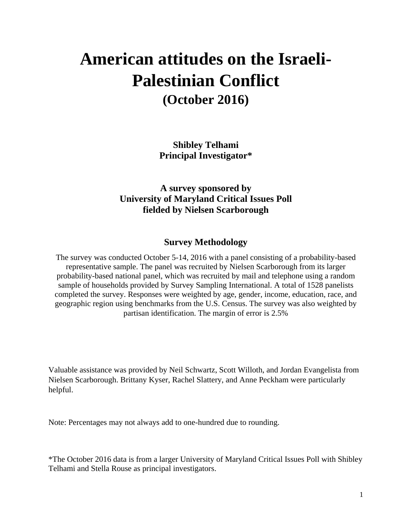## **American attitudes on the Israeli-Palestinian Conflict (October 2016)**

**Shibley Telhami Principal Investigator\***

**A survey sponsored by University of Maryland Critical Issues Poll fielded by Nielsen Scarborough**

#### **Survey Methodology**

The survey was conducted October 5-14, 2016 with a panel consisting of a probability-based representative sample. The panel was recruited by Nielsen Scarborough from its larger probability-based national panel, which was recruited by mail and telephone using a random sample of households provided by Survey Sampling International. A total of 1528 panelists completed the survey. Responses were weighted by age, gender, income, education, race, and geographic region using benchmarks from the U.S. Census. The survey was also weighted by partisan identification. The margin of error is 2.5%

Valuable assistance was provided by Neil Schwartz, Scott Willoth, and Jordan Evangelista from Nielsen Scarborough. Brittany Kyser, Rachel Slattery, and Anne Peckham were particularly helpful.

Note: Percentages may not always add to one-hundred due to rounding.

\*The October 2016 data is from a larger University of Maryland Critical Issues Poll with Shibley Telhami and Stella Rouse as principal investigators.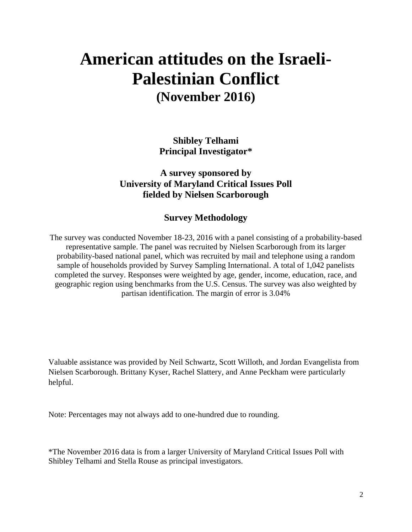### **American attitudes on the Israeli-Palestinian Conflict (November 2016)**

**Shibley Telhami Principal Investigator\***

**A survey sponsored by University of Maryland Critical Issues Poll fielded by Nielsen Scarborough**

#### **Survey Methodology**

The survey was conducted November 18-23, 2016 with a panel consisting of a probability-based representative sample. The panel was recruited by Nielsen Scarborough from its larger probability-based national panel, which was recruited by mail and telephone using a random sample of households provided by Survey Sampling International. A total of 1,042 panelists completed the survey. Responses were weighted by age, gender, income, education, race, and geographic region using benchmarks from the U.S. Census. The survey was also weighted by partisan identification. The margin of error is 3.04%

Valuable assistance was provided by Neil Schwartz, Scott Willoth, and Jordan Evangelista from Nielsen Scarborough. Brittany Kyser, Rachel Slattery, and Anne Peckham were particularly helpful.

Note: Percentages may not always add to one-hundred due to rounding.

\*The November 2016 data is from a larger University of Maryland Critical Issues Poll with Shibley Telhami and Stella Rouse as principal investigators.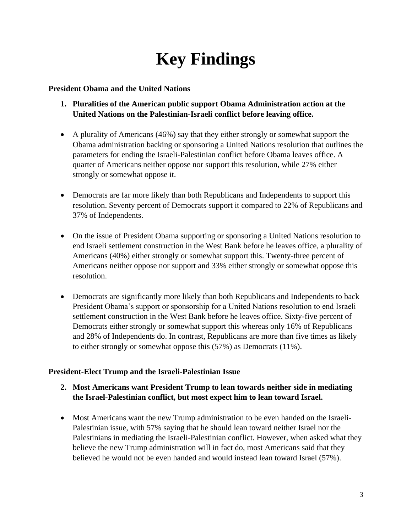# **Key Findings**

#### **President Obama and the United Nations**

- **1. Pluralities of the American public support Obama Administration action at the United Nations on the Palestinian-Israeli conflict before leaving office.**
- A plurality of Americans (46%) say that they either strongly or somewhat support the Obama administration backing or sponsoring a United Nations resolution that outlines the parameters for ending the Israeli-Palestinian conflict before Obama leaves office. A quarter of Americans neither oppose nor support this resolution, while 27% either strongly or somewhat oppose it.
- Democrats are far more likely than both Republicans and Independents to support this resolution. Seventy percent of Democrats support it compared to 22% of Republicans and 37% of Independents.
- On the issue of President Obama supporting or sponsoring a United Nations resolution to end Israeli settlement construction in the West Bank before he leaves office, a plurality of Americans (40%) either strongly or somewhat support this. Twenty-three percent of Americans neither oppose nor support and 33% either strongly or somewhat oppose this resolution.
- Democrats are significantly more likely than both Republicans and Independents to back President Obama's support or sponsorship for a United Nations resolution to end Israeli settlement construction in the West Bank before he leaves office. Sixty-five percent of Democrats either strongly or somewhat support this whereas only 16% of Republicans and 28% of Independents do. In contrast, Republicans are more than five times as likely to either strongly or somewhat oppose this (57%) as Democrats (11%).

#### **President-Elect Trump and the Israeli-Palestinian Issue**

- **2. Most Americans want President Trump to lean towards neither side in mediating the Israel-Palestinian conflict, but most expect him to lean toward Israel.**
- Most Americans want the new Trump administration to be even handed on the Israeli-Palestinian issue, with 57% saying that he should lean toward neither Israel nor the Palestinians in mediating the Israeli-Palestinian conflict. However, when asked what they believe the new Trump administration will in fact do, most Americans said that they believed he would not be even handed and would instead lean toward Israel (57%).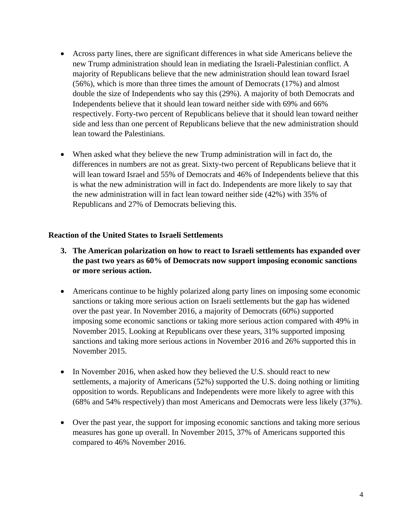- Across party lines, there are significant differences in what side Americans believe the new Trump administration should lean in mediating the Israeli-Palestinian conflict. A majority of Republicans believe that the new administration should lean toward Israel (56%), which is more than three times the amount of Democrats (17%) and almost double the size of Independents who say this (29%). A majority of both Democrats and Independents believe that it should lean toward neither side with 69% and 66% respectively. Forty-two percent of Republicans believe that it should lean toward neither side and less than one percent of Republicans believe that the new administration should lean toward the Palestinians.
- When asked what they believe the new Trump administration will in fact do, the differences in numbers are not as great. Sixty-two percent of Republicans believe that it will lean toward Israel and 55% of Democrats and 46% of Independents believe that this is what the new administration will in fact do. Independents are more likely to say that the new administration will in fact lean toward neither side (42%) with 35% of Republicans and 27% of Democrats believing this.

#### **Reaction of the United States to Israeli Settlements**

- **3. The American polarization on how to react to Israeli settlements has expanded over the past two years as 60% of Democrats now support imposing economic sanctions or more serious action.**
- Americans continue to be highly polarized along party lines on imposing some economic sanctions or taking more serious action on Israeli settlements but the gap has widened over the past year. In November 2016, a majority of Democrats (60%) supported imposing some economic sanctions or taking more serious action compared with 49% in November 2015. Looking at Republicans over these years, 31% supported imposing sanctions and taking more serious actions in November 2016 and 26% supported this in November 2015.
- In November 2016, when asked how they believed the U.S. should react to new settlements, a majority of Americans (52%) supported the U.S. doing nothing or limiting opposition to words. Republicans and Independents were more likely to agree with this (68% and 54% respectively) than most Americans and Democrats were less likely (37%).
- Over the past year, the support for imposing economic sanctions and taking more serious measures has gone up overall. In November 2015, 37% of Americans supported this compared to 46% November 2016.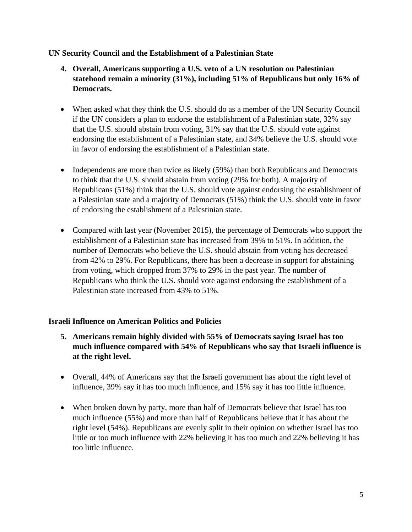#### **UN Security Council and the Establishment of a Palestinian State**

- **4. Overall, Americans supporting a U.S. veto of a UN resolution on Palestinian statehood remain a minority (31%), including 51% of Republicans but only 16% of Democrats.**
- When asked what they think the U.S. should do as a member of the UN Security Council if the UN considers a plan to endorse the establishment of a Palestinian state, 32% say that the U.S. should abstain from voting, 31% say that the U.S. should vote against endorsing the establishment of a Palestinian state, and 34% believe the U.S. should vote in favor of endorsing the establishment of a Palestinian state.
- Independents are more than twice as likely (59%) than both Republicans and Democrats to think that the U.S. should abstain from voting (29% for both). A majority of Republicans (51%) think that the U.S. should vote against endorsing the establishment of a Palestinian state and a majority of Democrats (51%) think the U.S. should vote in favor of endorsing the establishment of a Palestinian state.
- Compared with last year (November 2015), the percentage of Democrats who support the establishment of a Palestinian state has increased from 39% to 51%. In addition, the number of Democrats who believe the U.S. should abstain from voting has decreased from 42% to 29%. For Republicans, there has been a decrease in support for abstaining from voting, which dropped from 37% to 29% in the past year. The number of Republicans who think the U.S. should vote against endorsing the establishment of a Palestinian state increased from 43% to 51%.

#### **Israeli Influence on American Politics and Policies**

- **5. Americans remain highly divided with 55% of Democrats saying Israel has too much influence compared with 54% of Republicans who say that Israeli influence is at the right level.**
- Overall, 44% of Americans say that the Israeli government has about the right level of influence, 39% say it has too much influence, and 15% say it has too little influence.
- When broken down by party, more than half of Democrats believe that Israel has too much influence (55%) and more than half of Republicans believe that it has about the right level (54%). Republicans are evenly split in their opinion on whether Israel has too little or too much influence with 22% believing it has too much and 22% believing it has too little influence.